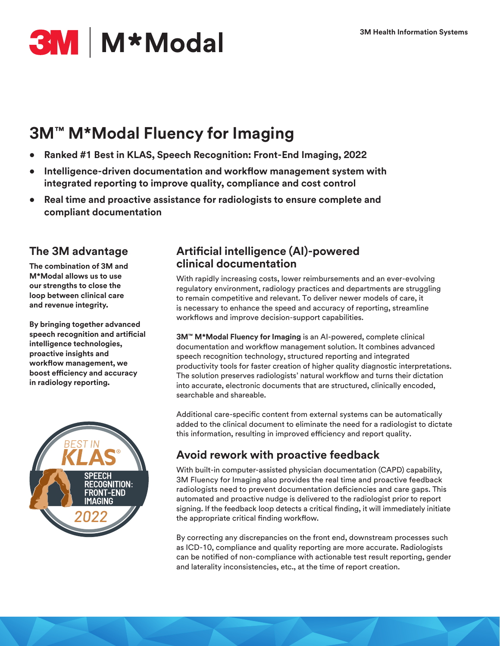# **3M** M<sup>\*</sup>Modal

# **3M™ M\*Modal Fluency for Imaging**

- **• Ranked #1 Best in KLAS, Speech Recognition: Front-End Imaging, 2022**
- **• Intelligence-driven documentation and workflow management system with integrated reporting to improve quality, compliance and cost control**
- **• Real time and proactive assistance for radiologists to ensure complete and compliant documentation**

# **The 3M advantage**

**The combination of 3M and M\*Modal allows us to use our strengths to close the loop between clinical care and revenue integrity.**

**By bringing together advanced speech recognition and artificial intelligence technologies, proactive insights and workflow management, we boost efficiency and accuracy in radiology reporting.** 



### **Artificial intelligence (AI)-powered clinical documentation**

With rapidly increasing costs, lower reimbursements and an ever-evolving regulatory environment, radiology practices and departments are struggling to remain competitive and relevant. To deliver newer models of care, it is necessary to enhance the speed and accuracy of reporting, streamline workflows and improve decision-support capabilities.

**3M™ M\*Modal Fluency for Imaging** is an AI-powered, complete clinical documentation and workflow management solution. It combines advanced speech recognition technology, structured reporting and integrated productivity tools for faster creation of higher quality diagnostic interpretations. The solution preserves radiologists' natural workflow and turns their dictation into accurate, electronic documents that are structured, clinically encoded, searchable and shareable.

Additional care-specific content from external systems can be automatically added to the clinical document to eliminate the need for a radiologist to dictate this information, resulting in improved efficiency and report quality.

# **Avoid rework with proactive feedback**

With built-in computer-assisted physician documentation (CAPD) capability, 3M Fluency for Imaging also provides the real time and proactive feedback radiologists need to prevent documentation deficiencies and care gaps. This automated and proactive nudge is delivered to the radiologist prior to report signing. If the feedback loop detects a critical finding, it will immediately initiate the appropriate critical finding workflow.

By correcting any discrepancies on the front end, downstream processes such as ICD-10, compliance and quality reporting are more accurate. Radiologists can be notified of non-compliance with actionable test result reporting, gender and laterality inconsistencies, etc., at the time of report creation.